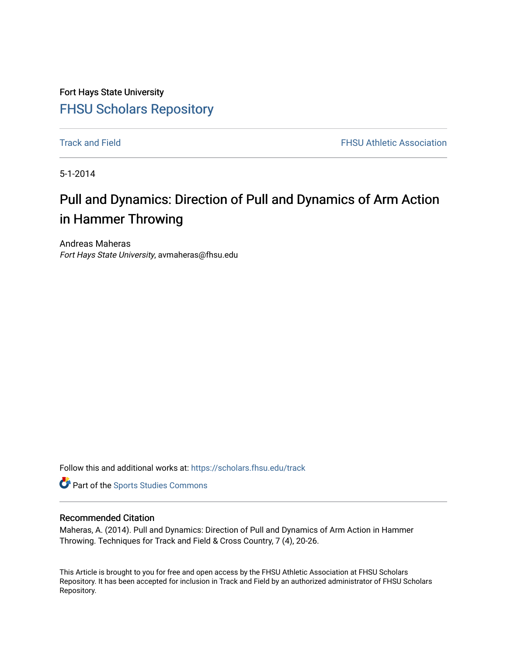Fort Hays State University [FHSU Scholars Repository](https://scholars.fhsu.edu/) 

**[Track and Field](https://scholars.fhsu.edu/track) FHSU Athletic Association** 

5-1-2014

# Pull and Dynamics: Direction of Pull and Dynamics of Arm Action in Hammer Throwing

Andreas Maheras Fort Hays State University, avmaheras@fhsu.edu

Follow this and additional works at: [https://scholars.fhsu.edu/track](https://scholars.fhsu.edu/track?utm_source=scholars.fhsu.edu%2Ftrack%2F11&utm_medium=PDF&utm_campaign=PDFCoverPages) 

Part of the [Sports Studies Commons](http://network.bepress.com/hgg/discipline/1198?utm_source=scholars.fhsu.edu%2Ftrack%2F11&utm_medium=PDF&utm_campaign=PDFCoverPages) 

# Recommended Citation

Maheras, A. (2014). Pull and Dynamics: Direction of Pull and Dynamics of Arm Action in Hammer Throwing. Techniques for Track and Field & Cross Country, 7 (4), 20-26.

This Article is brought to you for free and open access by the FHSU Athletic Association at FHSU Scholars Repository. It has been accepted for inclusion in Track and Field by an authorized administrator of FHSU Scholars Repository.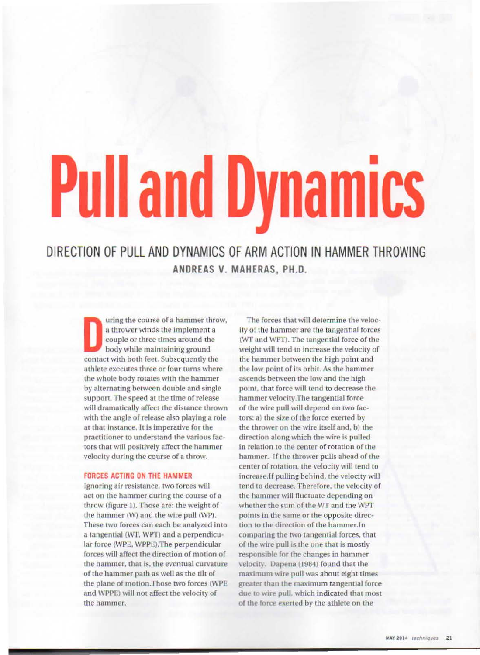# ■ **ull and Dynamics**

DIRECTION OF PULL AND DYNAMICS OF ARM ACTION IN HAMMER THROWING **ANDREAS V. MAHERAS, PH.D.** 

uring the course of a hammer throw, a thrower winds the implement a couple or three times around the body while maintaining ground contact with both feet. Subsequently the athlete executes three or four rums where the whole body rotates with the hammer by alternating between double and single support. The speed at the time of release will dramatically affect the distance thrown with the angle of release also playing a role at that Instance. It is imperative for the practitioner to understand the various factors that will positively affect the hammer velocity during the course of a throw.

#### **FORCES ACTING ON THE HAMMER**

Ignoring air resistance. two forces will act on the hammer during the course of a throw (figure 1). Those are: the weight of the hammer  $(W)$  and the wire pull  $(WP)$ . These two forces can each be analyzed into a tangential (WT, WPT) and a perpendicular force (WPE, WPPE). The perpendicular forces will affect the direction of motion of the hammer, that is, the eventual curvature of the hammer path as well as the tilt of the plane of motion.Those two forces (WPE and WPPE) will not affect the velocity of the hammer.

The forces that will determine the velocity of the hammer are the tangential forces (WT and WPT). The tangential force of the weight will tend to increase the velocity of the hammer between the high point and the low point of its orbit. As the hammer ascends between the low and the high point, that force will tend to decrease the hammer velocity.The tangential force of the wire pull will depend on two factors: a) the size of the force exerted by the thrower on the wire itself and, b) the direction along which the wire is pulled in relation to the center of rotation of the hammer. If the thrower pulls ahead of the center of rotation, the velocity will tend to increase.If pulling behind, the velocity will tend to decrease. Therefore, the velocity of the hammer will fluctuate depending on whether the sum of the WT and the WPT points in the same or the opposite direction to the direction of the hammer.In comparing the two tangential forces, that of the wire pull is the one that is mostly responsible for the changes in hammer velocity. Dapena (1984) found that the maximum wire pull was about eight times greater than the maximum tangential force due to wire pull, which indicated that most of the force exerted by the athlete on the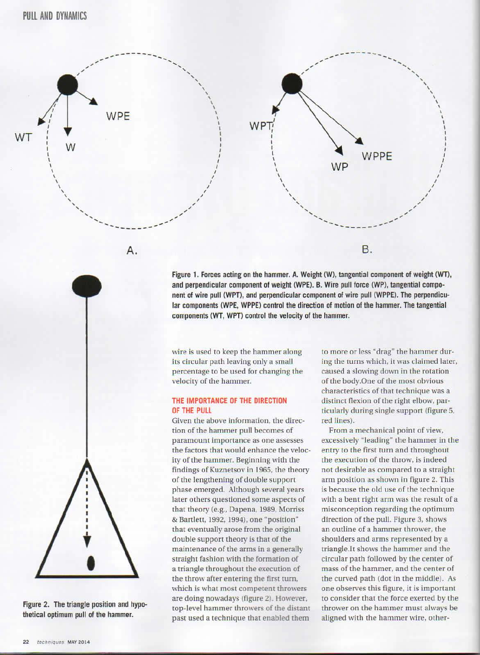WТ



Figure 1. Forces acting on the hammer. A. Weight (W), tangential component of weight (WT), and perpendicular component of weight (WPE). B. Wire pull force (WP), tangential component of wire pull (WPT), and perpendicular component of wire pull (WPPE). The perpendicular components (WPE, WPPE) control the direction of motion of the hammer. The tangential components (WT, WPT) control the velocity of the hammer.

wire is used to keep the hammer along its circular path leaving only a small percentage to be used for changing the velocity of the hammer.

### THE IMPORTANCE OF THE DIRECTION OF THE PULL

Given the above information, the direction of the hammer pull becomes of paramount importance as one assesses the factors that would enhance the velocity of the hammer. Beginning with the findings of Kuznetsov in 1965, the theory of the lengthening of double support phase emerged. Although several years later others questioned some aspects of that theory (e.g., Dapena, 1989, Morriss & Bartlett, 1992, 1994), one "position" that eventually arose from the original double support theory is that of the maintenance of the arms in a generally straight fashion with the formation of a triangle throughout the execution of the throw after entering the first turn, which is what most competent throwers are doing nowadays (figure 2). However, top-level hammer throwers of the distant past used a technique that enabled them

to more or less "drag" the hammer during the turns which, it was claimed later, caused a slowing down in the rotation of the body. One of the most obvious characteristics of that technique was a distinct flexion of the right elbow, particularly during single support (figure 5, red lines).

From a mechanical point of view, excessively "leading" the hammer in the entry to the first turn and throughout the execution of the throw, is indeed not desirable as compared to a straight arm position as shown in figure 2. This is because the old use of the technique with a bent right arm was the result of a misconception regarding the optimum direction of the pull. Figure 3, shows an outline of a hammer thrower, the shoulders and arms represented by a triangle. It shows the hammer and the circular path followed by the center of mass of the hammer, and the center of the curved path (dot in the middle). As one observes this figure, it is important to consider that the force exerted by the thrower on the hammer must always be aligned with the hammer wire, other-



Figure 2. The triangle position and hypothetical optimum pull of the hammer.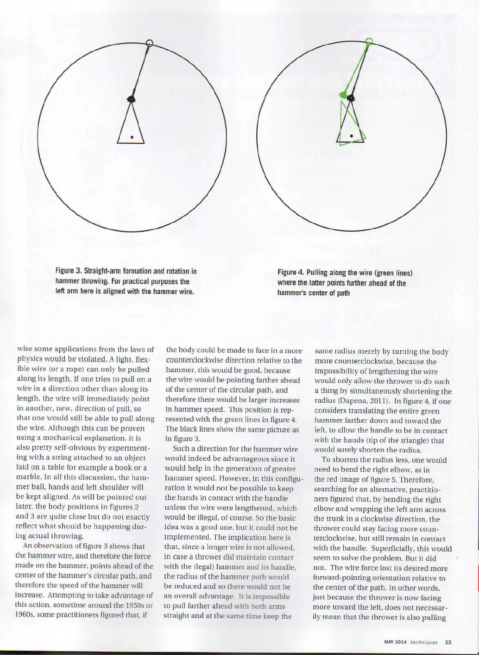Figure 3. Straight-arm formation and rotation in hammer throwing. For practical purposes the left arm here is aligned with the hammer wire.

Figure 4. Pulling along the wire (green lines) where the latter points further ahead of the hammer's center of path

wise some applications from the laws of physics would be violated. A light, flexible wire (or a rope) can only be pulled along its length. If one tries to pull on a wire in a direction other than along its length, the wire will immediately point in another, new. direction of pull, so that one would still be able to pull along the wire. Although this can be proven **using** a mechanical explanation. it *ls*  also pretty self-obvious by experimenting with a string attached to an object laid on a table for example a book or a marble. In all this discussion, the hammer ball, hands and left shoulder will be kept aligned. As will be pointed out later, the body positions in figures 2 and 3 are quite close but do not exactly reflect what should be happening during actual throwing.

An observation of figure 3 shows that the hammer wire, and therefore the force made on the hammer, points ahead of the center of the hammer's circular path, and therefore the speed of the hammer will Increase. Attempting to take advantage of this action, sometime around the 1950s or I 960s. some practitioners figured that, if

the body could be made to face in a more counterclockwise direction relative to the hammer, this would be good, because the wire would be pointing farther ahead of the center of the circular path. and therefore there would be larger increases in hammer speed. This position is represented with the green lines in figure 4. The black lines show the same picture as in figure 3.

Such a direction for the hammer wire would indeed be advantageous since it would help in the generation of greater hammer speed. However. in this configuration it would not be possible to keep the hands in contact with the handle unless the wire were lengthened. which would be illegal. of course. So the basic idea was a good one, but it could not be implemented. The implication here is that, since a longer wire is not allowed, in case a thrower did maintain contact with the (legal) hammer and its handle. the radius of the hammer path would be reduced and so there would not be an overall advantage. It is impossible to pull farther ahead with both arms straight and at the same time keep the

same radius merely by turning the body more counterclockwise, because the imposslbllity of lengthening the wire would only allow the thrower to do such a thing by simultaneously shortening the radius (Dapena, 2011). In figure 4, if one considers translating the entire green hammer farther down and toward the left, to allow the handle to be in contact with the hands (tip of the triangle) that would surely shorten the radius.

To shorten the radius less, one would need to bend the right elbow, as in the red image of figure 5. Therefore, searching for an alternative, practitioners figured that, by bending the right elbow and wrapping the left arm across the trunk in a clockwise direction, the thrower could stay facing more councerclockwise, but still remain in contact with the handle. Superficially, this would seem to solve the problem. But it did not. The wire force lost its desired more forward-pointing orientation relative to the center of the path. In other words, just because the thrower is now facing more toward the left, does not necessarily mean that the thrower is also pulling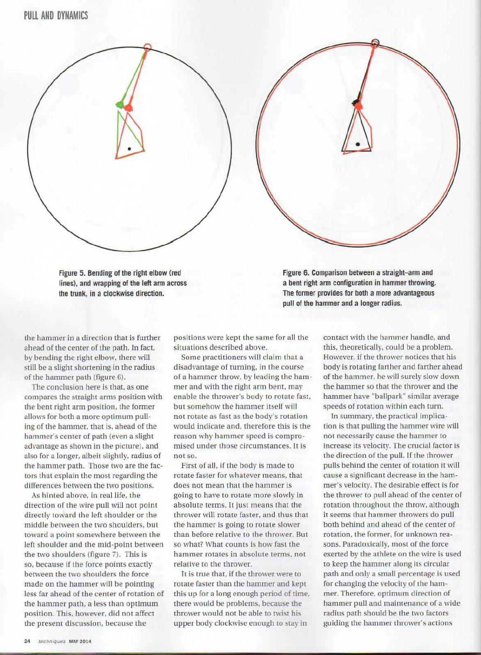Figure 5. Bending of the right elbow (red lines), and wrapping of the left arm across the trunk, in a clockwise direction.

the hammer in a direction that is further ahead of the center of the path. In fact, by bending the right elbow, there will still be a slight shortening in the radius of the hammer path {figure 6).

The conclusion here is that, as one compares the straight arms position with the bent right arm position, the former allows for both a more optimum pulling of the hammer, that is, ahead of the hammer's center of path (even a slight advantage as shown in the picture), and also for a longer, albeit slightly, radius of the hammer path. Those two are the factors that explain the most regarding the differences between the two positions.

As hinted above, in real life, the direction of the wire pull will not point directly toward the left shoulder or the middle between the two shoulders, but toward a point somewhere between the left shoulder and the mid-point between the two shoulders (figure 7). This is so, because if the force points exactly between the 1wo shoulders the force made on the hammer will be pointing less far ahead of the center of rotation of the hammer path, a less than optimum position. This, however. did not affect the present discussion, because the

positions were kept the same for all the situations described above.

Some practitioners will claim that a disadvantage of turning, in the course of a hammer throw, by leading the hammer and with the right arm bent, may enable the thrower's body to rotate fast, but somehow the hammer itself will not rotate as fast as the body's rotation would indicate and, therefore this is tbe reason why hammer speed is compromised under those circumstances. It is not so.

First of ail, if the body is made to rotate faster for whatever means, that does not mean that the hammer is going to have to rotate more slowly in absolute terms. It just means that the thrower will rotate faster, and thus that the hammer is going to rotate slower than before relative to the thrower. But so what? What counts is how fast the hammer rotates in absolute terms, no1 relative to the thrower.

It is true that, if the thrower were to rotate faster than the hammer and kept this up for a long enough period of time, there would be problems, because the thrower would not be able to twist his upper body clockwise enough to stay in

Figure 6. Comparison between a straight-arm and a bent right arm configuration in hammer throwing. The fonner provides for both a more advantageous pull of the hammer and a longer radius.

> contact with the hammer handle, and this, theoretically, could be a problem. However, if the thrower notices that his body is rotating farther and farther ahead of the hammer, he will surely slow down the hammer so that the thrower and the hammer have "ballpark" simllar average speeds of rotation within each turn.

> In summary, the practical Implication is that pulling the hammer wire will not necessarily cause the hammer to increase its velocity. The crucial factor is the direction of the pull. If the thrower pulls behind the center of rotation it will cause a significant decrease in the hammer's velocity. The desirable effect is for the thrower to pull ahead of the center of rotation throughout the throw, although it seems that hammer throwers do pull both behind and ahead of the center of rotation, the former, for unknown reasons. Paradoxically, most of the force exerted by the athlete on the wire is used to keep the hammer along its circular path and only a small percentage is used for changing the velocity of the hammer. Therefore, optimum direction of hammer pull and maintenance of a wide radius path should be the two factors guiding the hammer thrower's actions